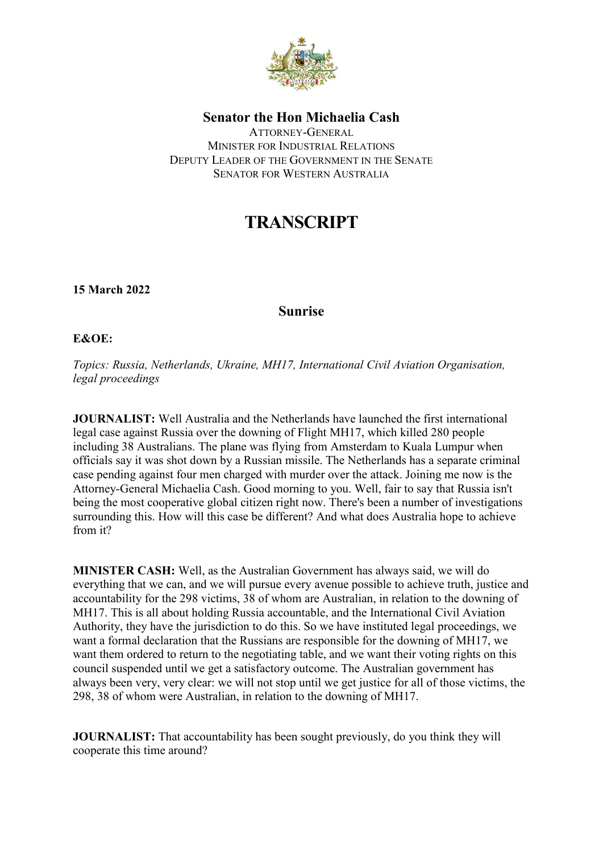

**Senator the Hon Michaelia Cash**

ATTORNEY-GENERAL MINISTER FOR INDUSTRIAL RELATIONS DEPUTY LEADER OF THE GOVERNMENT IN THE SENATE SENATOR FOR WESTERN AUSTRALIA

## **TRANSCRIPT**

**15 March 2022**

## **Sunrise**

## **E&OE:**

*Topics: Russia, Netherlands, Ukraine, MH17, International Civil Aviation Organisation, legal proceedings*

**JOURNALIST:** Well Australia and the Netherlands have launched the first international legal case against Russia over the downing of Flight MH17, which killed 280 people including 38 Australians. The plane was flying from Amsterdam to Kuala Lumpur when officials say it was shot down by a Russian missile. The Netherlands has a separate criminal case pending against four men charged with murder over the attack. Joining me now is the Attorney-General Michaelia Cash. Good morning to you. Well, fair to say that Russia isn't being the most cooperative global citizen right now. There's been a number of investigations surrounding this. How will this case be different? And what does Australia hope to achieve from it?

**MINISTER CASH:** Well, as the Australian Government has always said, we will do everything that we can, and we will pursue every avenue possible to achieve truth, justice and accountability for the 298 victims, 38 of whom are Australian, in relation to the downing of MH17. This is all about holding Russia accountable, and the International Civil Aviation Authority, they have the jurisdiction to do this. So we have instituted legal proceedings, we want a formal declaration that the Russians are responsible for the downing of MH17, we want them ordered to return to the negotiating table, and we want their voting rights on this council suspended until we get a satisfactory outcome. The Australian government has always been very, very clear: we will not stop until we get justice for all of those victims, the 298, 38 of whom were Australian, in relation to the downing of MH17.

**JOURNALIST:** That accountability has been sought previously, do you think they will cooperate this time around?